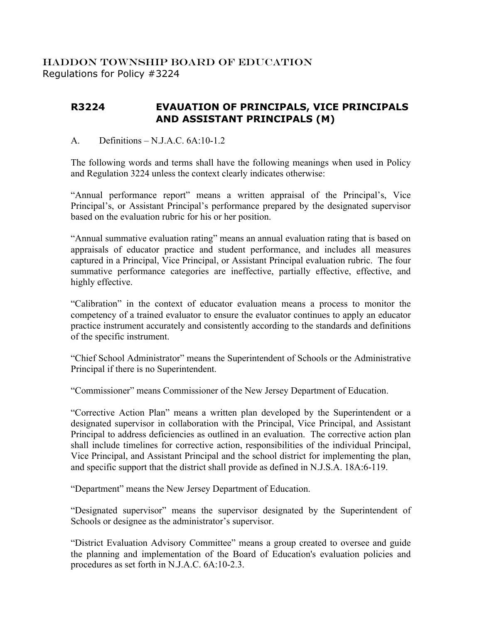## HADDON TOWNSHIP BOARD OF EDUCATION Regulations for Policy #3224

## **R3224 EVAUATION OF PRINCIPALS, VICE PRINCIPALS AND ASSISTANT PRINCIPALS (M)**

## A. Definitions – N.J.A.C. 6A:10-1.2

The following words and terms shall have the following meanings when used in Policy and Regulation 3224 unless the context clearly indicates otherwise:

"Annual performance report" means a written appraisal of the Principal's, Vice Principal's, or Assistant Principal's performance prepared by the designated supervisor based on the evaluation rubric for his or her position.

"Annual summative evaluation rating" means an annual evaluation rating that is based on appraisals of educator practice and student performance, and includes all measures captured in a Principal, Vice Principal, or Assistant Principal evaluation rubric. The four summative performance categories are ineffective, partially effective, effective, and highly effective.

"Calibration" in the context of educator evaluation means a process to monitor the competency of a trained evaluator to ensure the evaluator continues to apply an educator practice instrument accurately and consistently according to the standards and definitions of the specific instrument.

"Chief School Administrator" means the Superintendent of Schools or the Administrative Principal if there is no Superintendent.

"Commissioner" means Commissioner of the New Jersey Department of Education.

"Corrective Action Plan" means a written plan developed by the Superintendent or a designated supervisor in collaboration with the Principal, Vice Principal, and Assistant Principal to address deficiencies as outlined in an evaluation. The corrective action plan shall include timelines for corrective action, responsibilities of the individual Principal, Vice Principal, and Assistant Principal and the school district for implementing the plan, and specific support that the district shall provide as defined in N.J.S.A. 18A:6-119.

"Department" means the New Jersey Department of Education.

"Designated supervisor" means the supervisor designated by the Superintendent of Schools or designee as the administrator's supervisor.

"District Evaluation Advisory Committee" means a group created to oversee and guide the planning and implementation of the Board of Education's evaluation policies and procedures as set forth in N.J.A.C. 6A:10-2.3.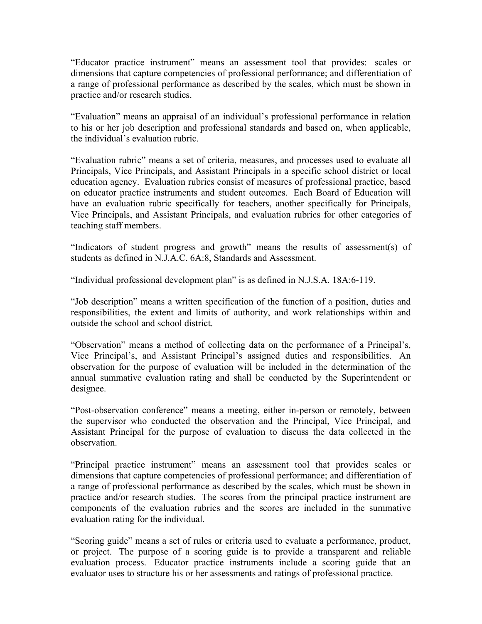"Educator practice instrument" means an assessment tool that provides: scales or dimensions that capture competencies of professional performance; and differentiation of a range of professional performance as described by the scales, which must be shown in practice and/or research studies.

"Evaluation" means an appraisal of an individual's professional performance in relation to his or her job description and professional standards and based on, when applicable, the individual's evaluation rubric.

"Evaluation rubric" means a set of criteria, measures, and processes used to evaluate all Principals, Vice Principals, and Assistant Principals in a specific school district or local education agency. Evaluation rubrics consist of measures of professional practice, based on educator practice instruments and student outcomes. Each Board of Education will have an evaluation rubric specifically for teachers, another specifically for Principals, Vice Principals, and Assistant Principals, and evaluation rubrics for other categories of teaching staff members.

"Indicators of student progress and growth" means the results of assessment(s) of students as defined in N.J.A.C. 6A:8, Standards and Assessment.

"Individual professional development plan" is as defined in N.J.S.A. 18A:6-119.

"Job description" means a written specification of the function of a position, duties and responsibilities, the extent and limits of authority, and work relationships within and outside the school and school district.

"Observation" means a method of collecting data on the performance of a Principal's, Vice Principal's, and Assistant Principal's assigned duties and responsibilities. An observation for the purpose of evaluation will be included in the determination of the annual summative evaluation rating and shall be conducted by the Superintendent or designee.

"Post-observation conference" means a meeting, either in-person or remotely, between the supervisor who conducted the observation and the Principal, Vice Principal, and Assistant Principal for the purpose of evaluation to discuss the data collected in the observation.

"Principal practice instrument" means an assessment tool that provides scales or dimensions that capture competencies of professional performance; and differentiation of a range of professional performance as described by the scales, which must be shown in practice and/or research studies. The scores from the principal practice instrument are components of the evaluation rubrics and the scores are included in the summative evaluation rating for the individual.

"Scoring guide" means a set of rules or criteria used to evaluate a performance, product, or project. The purpose of a scoring guide is to provide a transparent and reliable evaluation process. Educator practice instruments include a scoring guide that an evaluator uses to structure his or her assessments and ratings of professional practice.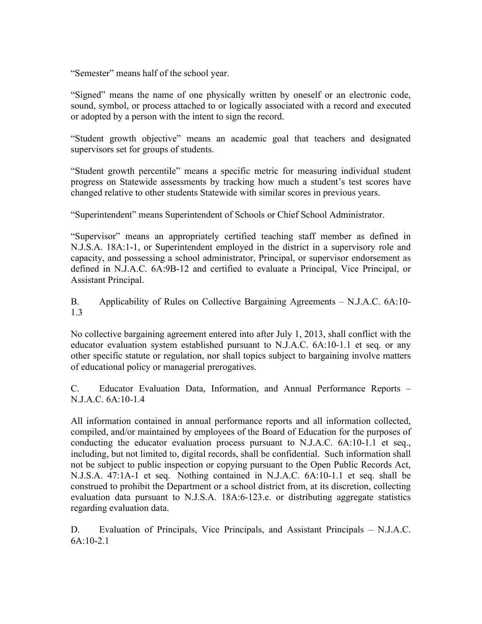"Semester" means half of the school year.

"Signed" means the name of one physically written by oneself or an electronic code, sound, symbol, or process attached to or logically associated with a record and executed or adopted by a person with the intent to sign the record.

"Student growth objective" means an academic goal that teachers and designated supervisors set for groups of students.

"Student growth percentile" means a specific metric for measuring individual student progress on Statewide assessments by tracking how much a student's test scores have changed relative to other students Statewide with similar scores in previous years.

"Superintendent" means Superintendent of Schools or Chief School Administrator.

"Supervisor" means an appropriately certified teaching staff member as defined in N.J.S.A. 18A:1-1, or Superintendent employed in the district in a supervisory role and capacity, and possessing a school administrator, Principal, or supervisor endorsement as defined in N.J.A.C. 6A:9B-12 and certified to evaluate a Principal, Vice Principal, or Assistant Principal.

B. Applicability of Rules on Collective Bargaining Agreements – N.J.A.C. 6A:10- 1.3

No collective bargaining agreement entered into after July 1, 2013, shall conflict with the educator evaluation system established pursuant to N.J.A.C. 6A:10-1.1 et seq. or any other specific statute or regulation, nor shall topics subject to bargaining involve matters of educational policy or managerial prerogatives.

C. Educator Evaluation Data, Information, and Annual Performance Reports – N.J.A.C. 6A:10-1.4

All information contained in annual performance reports and all information collected, compiled, and/or maintained by employees of the Board of Education for the purposes of conducting the educator evaluation process pursuant to N.J.A.C. 6A:10-1.1 et seq., including, but not limited to, digital records, shall be confidential. Such information shall not be subject to public inspection or copying pursuant to the Open Public Records Act, N.J.S.A. 47:1A-1 et seq. Nothing contained in N.J.A.C. 6A:10-1.1 et seq. shall be construed to prohibit the Department or a school district from, at its discretion, collecting evaluation data pursuant to N.J.S.A. 18A:6-123.e. or distributing aggregate statistics regarding evaluation data.

D. Evaluation of Principals, Vice Principals, and Assistant Principals – N.J.A.C.  $6A:10-2.1$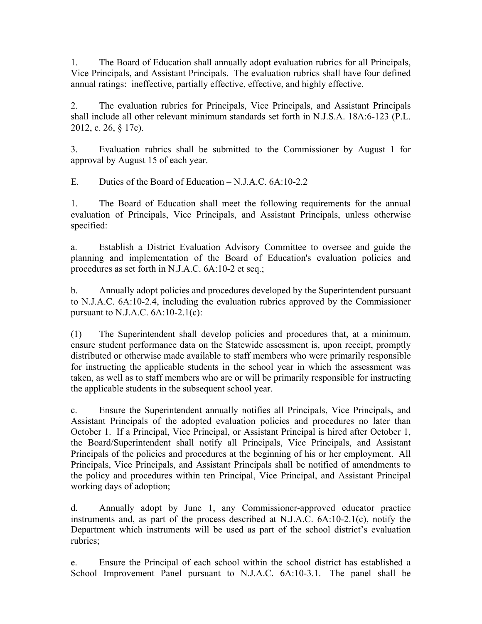1. The Board of Education shall annually adopt evaluation rubrics for all Principals, Vice Principals, and Assistant Principals. The evaluation rubrics shall have four defined annual ratings: ineffective, partially effective, effective, and highly effective.

2. The evaluation rubrics for Principals, Vice Principals, and Assistant Principals shall include all other relevant minimum standards set forth in N.J.S.A. 18A:6-123 (P.L. 2012, c. 26, § 17c).

3. Evaluation rubrics shall be submitted to the Commissioner by August 1 for approval by August 15 of each year.

E. Duties of the Board of Education – N.J.A.C. 6A:10-2.2

1. The Board of Education shall meet the following requirements for the annual evaluation of Principals, Vice Principals, and Assistant Principals, unless otherwise specified:

a. Establish a District Evaluation Advisory Committee to oversee and guide the planning and implementation of the Board of Education's evaluation policies and procedures as set forth in N.J.A.C. 6A:10-2 et seq.;

b. Annually adopt policies and procedures developed by the Superintendent pursuant to N.J.A.C. 6A:10-2.4, including the evaluation rubrics approved by the Commissioner pursuant to N.J.A.C.  $6A:10-2.1(c)$ :

(1) The Superintendent shall develop policies and procedures that, at a minimum, ensure student performance data on the Statewide assessment is, upon receipt, promptly distributed or otherwise made available to staff members who were primarily responsible for instructing the applicable students in the school year in which the assessment was taken, as well as to staff members who are or will be primarily responsible for instructing the applicable students in the subsequent school year.

c. Ensure the Superintendent annually notifies all Principals, Vice Principals, and Assistant Principals of the adopted evaluation policies and procedures no later than October 1. If a Principal, Vice Principal, or Assistant Principal is hired after October 1, the Board/Superintendent shall notify all Principals, Vice Principals, and Assistant Principals of the policies and procedures at the beginning of his or her employment. All Principals, Vice Principals, and Assistant Principals shall be notified of amendments to the policy and procedures within ten Principal, Vice Principal, and Assistant Principal working days of adoption;

d. Annually adopt by June 1, any Commissioner-approved educator practice instruments and, as part of the process described at N.J.A.C. 6A:10-2.1(c), notify the Department which instruments will be used as part of the school district's evaluation rubrics;

e. Ensure the Principal of each school within the school district has established a School Improvement Panel pursuant to N.J.A.C. 6A:10-3.1. The panel shall be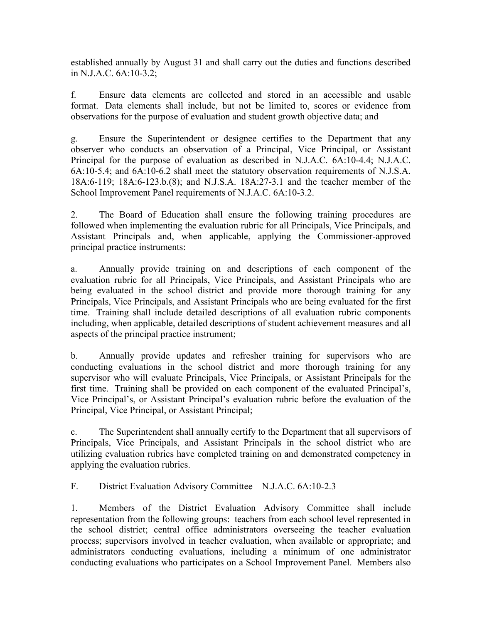established annually by August 31 and shall carry out the duties and functions described in N.J.A.C. 6A:10-3.2;

f. Ensure data elements are collected and stored in an accessible and usable format. Data elements shall include, but not be limited to, scores or evidence from observations for the purpose of evaluation and student growth objective data; and

g. Ensure the Superintendent or designee certifies to the Department that any observer who conducts an observation of a Principal, Vice Principal, or Assistant Principal for the purpose of evaluation as described in N.J.A.C. 6A:10-4.4; N.J.A.C. 6A:10-5.4; and 6A:10-6.2 shall meet the statutory observation requirements of N.J.S.A. 18A:6-119; 18A:6-123.b.(8); and N.J.S.A. 18A:27-3.1 and the teacher member of the School Improvement Panel requirements of N.J.A.C. 6A:10-3.2.

2. The Board of Education shall ensure the following training procedures are followed when implementing the evaluation rubric for all Principals, Vice Principals, and Assistant Principals and, when applicable, applying the Commissioner-approved principal practice instruments:

a. Annually provide training on and descriptions of each component of the evaluation rubric for all Principals, Vice Principals, and Assistant Principals who are being evaluated in the school district and provide more thorough training for any Principals, Vice Principals, and Assistant Principals who are being evaluated for the first time. Training shall include detailed descriptions of all evaluation rubric components including, when applicable, detailed descriptions of student achievement measures and all aspects of the principal practice instrument;

b. Annually provide updates and refresher training for supervisors who are conducting evaluations in the school district and more thorough training for any supervisor who will evaluate Principals, Vice Principals, or Assistant Principals for the first time. Training shall be provided on each component of the evaluated Principal's, Vice Principal's, or Assistant Principal's evaluation rubric before the evaluation of the Principal, Vice Principal, or Assistant Principal;

c. The Superintendent shall annually certify to the Department that all supervisors of Principals, Vice Principals, and Assistant Principals in the school district who are utilizing evaluation rubrics have completed training on and demonstrated competency in applying the evaluation rubrics.

F. District Evaluation Advisory Committee – N.J.A.C. 6A:10-2.3

1. Members of the District Evaluation Advisory Committee shall include representation from the following groups: teachers from each school level represented in the school district; central office administrators overseeing the teacher evaluation process; supervisors involved in teacher evaluation, when available or appropriate; and administrators conducting evaluations, including a minimum of one administrator conducting evaluations who participates on a School Improvement Panel. Members also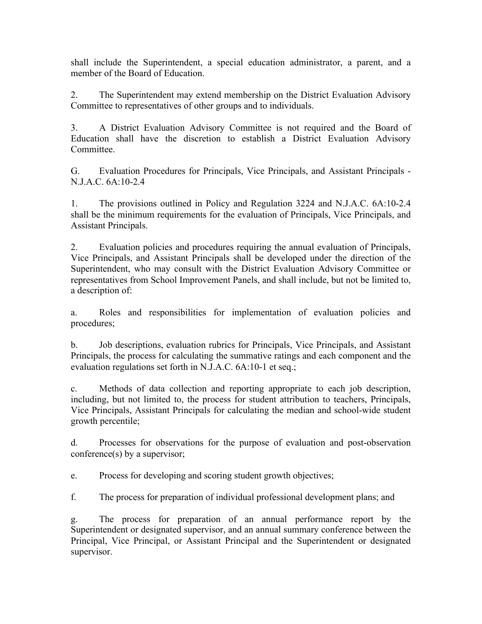shall include the Superintendent, a special education administrator, a parent, and a member of the Board of Education.

2. The Superintendent may extend membership on the District Evaluation Advisory Committee to representatives of other groups and to individuals.

3. A District Evaluation Advisory Committee is not required and the Board of Education shall have the discretion to establish a District Evaluation Advisory **Committee** 

G. Evaluation Procedures for Principals, Vice Principals, and Assistant Principals - N.J.A.C. 6A:10-2.4

1. The provisions outlined in Policy and Regulation 3224 and N.J.A.C. 6A:10-2.4 shall be the minimum requirements for the evaluation of Principals, Vice Principals, and Assistant Principals.

2. Evaluation policies and procedures requiring the annual evaluation of Principals, Vice Principals, and Assistant Principals shall be developed under the direction of the Superintendent, who may consult with the District Evaluation Advisory Committee or representatives from School Improvement Panels, and shall include, but not be limited to, a description of:

a. Roles and responsibilities for implementation of evaluation policies and procedures;

b. Job descriptions, evaluation rubrics for Principals, Vice Principals, and Assistant Principals, the process for calculating the summative ratings and each component and the evaluation regulations set forth in N.J.A.C. 6A:10-1 et seq.;

c. Methods of data collection and reporting appropriate to each job description, including, but not limited to, the process for student attribution to teachers, Principals, Vice Principals, Assistant Principals for calculating the median and school-wide student growth percentile;

d. Processes for observations for the purpose of evaluation and post-observation conference(s) by a supervisor;

e. Process for developing and scoring student growth objectives;

f. The process for preparation of individual professional development plans; and

g. The process for preparation of an annual performance report by the Superintendent or designated supervisor, and an annual summary conference between the Principal, Vice Principal, or Assistant Principal and the Superintendent or designated supervisor.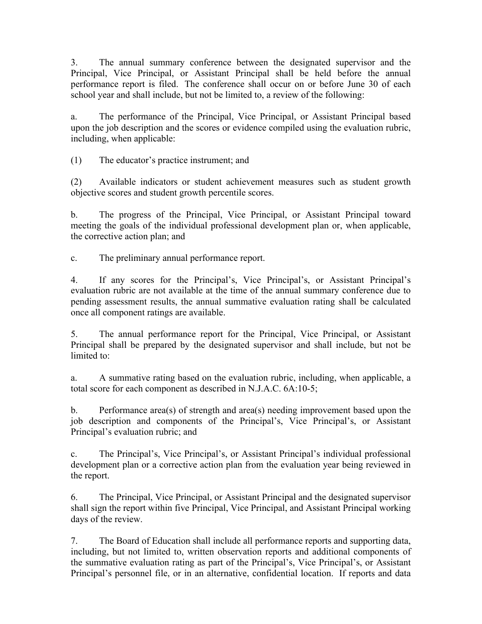3. The annual summary conference between the designated supervisor and the Principal, Vice Principal, or Assistant Principal shall be held before the annual performance report is filed. The conference shall occur on or before June 30 of each school year and shall include, but not be limited to, a review of the following:

a. The performance of the Principal, Vice Principal, or Assistant Principal based upon the job description and the scores or evidence compiled using the evaluation rubric, including, when applicable:

(1) The educator's practice instrument; and

(2) Available indicators or student achievement measures such as student growth objective scores and student growth percentile scores.

b. The progress of the Principal, Vice Principal, or Assistant Principal toward meeting the goals of the individual professional development plan or, when applicable, the corrective action plan; and

c. The preliminary annual performance report.

4. If any scores for the Principal's, Vice Principal's, or Assistant Principal's evaluation rubric are not available at the time of the annual summary conference due to pending assessment results, the annual summative evaluation rating shall be calculated once all component ratings are available.

5. The annual performance report for the Principal, Vice Principal, or Assistant Principal shall be prepared by the designated supervisor and shall include, but not be limited to:

a. A summative rating based on the evaluation rubric, including, when applicable, a total score for each component as described in N.J.A.C. 6A:10-5;

b. Performance area(s) of strength and area(s) needing improvement based upon the job description and components of the Principal's, Vice Principal's, or Assistant Principal's evaluation rubric; and

c. The Principal's, Vice Principal's, or Assistant Principal's individual professional development plan or a corrective action plan from the evaluation year being reviewed in the report.

6. The Principal, Vice Principal, or Assistant Principal and the designated supervisor shall sign the report within five Principal, Vice Principal, and Assistant Principal working days of the review.

7. The Board of Education shall include all performance reports and supporting data, including, but not limited to, written observation reports and additional components of the summative evaluation rating as part of the Principal's, Vice Principal's, or Assistant Principal's personnel file, or in an alternative, confidential location. If reports and data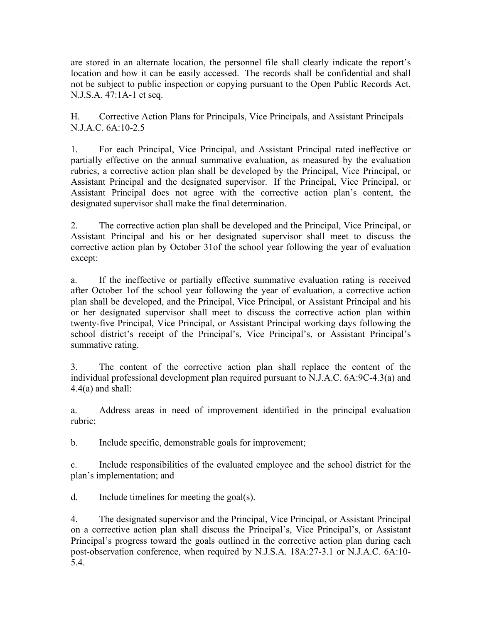are stored in an alternate location, the personnel file shall clearly indicate the report's location and how it can be easily accessed. The records shall be confidential and shall not be subject to public inspection or copying pursuant to the Open Public Records Act, N.J.S.A. 47:1A-1 et seq.

H. Corrective Action Plans for Principals, Vice Principals, and Assistant Principals – N.J.A.C. 6A:10-2.5

1. For each Principal, Vice Principal, and Assistant Principal rated ineffective or partially effective on the annual summative evaluation, as measured by the evaluation rubrics, a corrective action plan shall be developed by the Principal, Vice Principal, or Assistant Principal and the designated supervisor. If the Principal, Vice Principal, or Assistant Principal does not agree with the corrective action plan's content, the designated supervisor shall make the final determination.

2. The corrective action plan shall be developed and the Principal, Vice Principal, or Assistant Principal and his or her designated supervisor shall meet to discuss the corrective action plan by October 31of the school year following the year of evaluation except:

a. If the ineffective or partially effective summative evaluation rating is received after October 1of the school year following the year of evaluation, a corrective action plan shall be developed, and the Principal, Vice Principal, or Assistant Principal and his or her designated supervisor shall meet to discuss the corrective action plan within twenty-five Principal, Vice Principal, or Assistant Principal working days following the school district's receipt of the Principal's, Vice Principal's, or Assistant Principal's summative rating.

3. The content of the corrective action plan shall replace the content of the individual professional development plan required pursuant to N.J.A.C. 6A:9C-4.3(a) and  $4.4(a)$  and shall:

a. Address areas in need of improvement identified in the principal evaluation rubric;

b. Include specific, demonstrable goals for improvement;

c. Include responsibilities of the evaluated employee and the school district for the plan's implementation; and

d. Include timelines for meeting the goal(s).

4. The designated supervisor and the Principal, Vice Principal, or Assistant Principal on a corrective action plan shall discuss the Principal's, Vice Principal's, or Assistant Principal's progress toward the goals outlined in the corrective action plan during each post-observation conference, when required by N.J.S.A. 18A:27-3.1 or N.J.A.C. 6A:10- 5.4.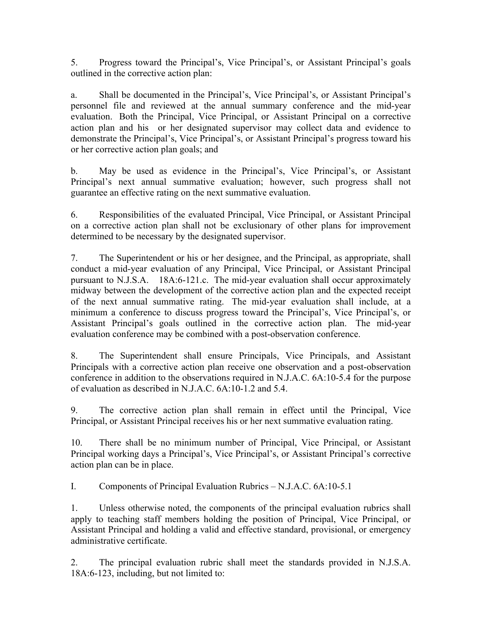5. Progress toward the Principal's, Vice Principal's, or Assistant Principal's goals outlined in the corrective action plan:

a. Shall be documented in the Principal's, Vice Principal's, or Assistant Principal's personnel file and reviewed at the annual summary conference and the mid-year evaluation. Both the Principal, Vice Principal, or Assistant Principal on a corrective action plan and his or her designated supervisor may collect data and evidence to demonstrate the Principal's, Vice Principal's, or Assistant Principal's progress toward his or her corrective action plan goals; and

b. May be used as evidence in the Principal's, Vice Principal's, or Assistant Principal's next annual summative evaluation; however, such progress shall not guarantee an effective rating on the next summative evaluation.

6. Responsibilities of the evaluated Principal, Vice Principal, or Assistant Principal on a corrective action plan shall not be exclusionary of other plans for improvement determined to be necessary by the designated supervisor.

7. The Superintendent or his or her designee, and the Principal, as appropriate, shall conduct a mid-year evaluation of any Principal, Vice Principal, or Assistant Principal pursuant to N.J.S.A. 18A:6-121.c. The mid-year evaluation shall occur approximately midway between the development of the corrective action plan and the expected receipt of the next annual summative rating. The mid-year evaluation shall include, at a minimum a conference to discuss progress toward the Principal's, Vice Principal's, or Assistant Principal's goals outlined in the corrective action plan. The mid-year evaluation conference may be combined with a post-observation conference.

8. The Superintendent shall ensure Principals, Vice Principals, and Assistant Principals with a corrective action plan receive one observation and a post-observation conference in addition to the observations required in N.J.A.C. 6A:10-5.4 for the purpose of evaluation as described in N.J.A.C. 6A:10-1.2 and 5.4.

9. The corrective action plan shall remain in effect until the Principal, Vice Principal, or Assistant Principal receives his or her next summative evaluation rating.

10. There shall be no minimum number of Principal, Vice Principal, or Assistant Principal working days a Principal's, Vice Principal's, or Assistant Principal's corrective action plan can be in place.

I. Components of Principal Evaluation Rubrics – N.J.A.C. 6A:10-5.1

1. Unless otherwise noted, the components of the principal evaluation rubrics shall apply to teaching staff members holding the position of Principal, Vice Principal, or Assistant Principal and holding a valid and effective standard, provisional, or emergency administrative certificate.

2. The principal evaluation rubric shall meet the standards provided in N.J.S.A. 18A:6-123, including, but not limited to: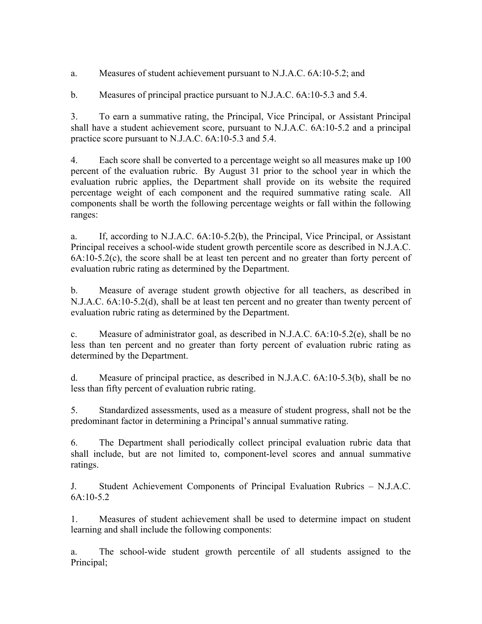a. Measures of student achievement pursuant to N.J.A.C. 6A:10-5.2; and

b. Measures of principal practice pursuant to N.J.A.C. 6A:10-5.3 and 5.4.

3. To earn a summative rating, the Principal, Vice Principal, or Assistant Principal shall have a student achievement score, pursuant to N.J.A.C. 6A:10-5.2 and a principal practice score pursuant to N.J.A.C. 6A:10-5.3 and 5.4.

4. Each score shall be converted to a percentage weight so all measures make up 100 percent of the evaluation rubric. By August 31 prior to the school year in which the evaluation rubric applies, the Department shall provide on its website the required percentage weight of each component and the required summative rating scale. All components shall be worth the following percentage weights or fall within the following ranges:

a. If, according to N.J.A.C. 6A:10-5.2(b), the Principal, Vice Principal, or Assistant Principal receives a school-wide student growth percentile score as described in N.J.A.C.  $6A:10-5.2(c)$ , the score shall be at least ten percent and no greater than forty percent of evaluation rubric rating as determined by the Department.

b. Measure of average student growth objective for all teachers, as described in N.J.A.C. 6A:10-5.2(d), shall be at least ten percent and no greater than twenty percent of evaluation rubric rating as determined by the Department.

c. Measure of administrator goal, as described in N.J.A.C. 6A:10-5.2(e), shall be no less than ten percent and no greater than forty percent of evaluation rubric rating as determined by the Department.

d. Measure of principal practice, as described in N.J.A.C. 6A:10-5.3(b), shall be no less than fifty percent of evaluation rubric rating.

5. Standardized assessments, used as a measure of student progress, shall not be the predominant factor in determining a Principal's annual summative rating.

6. The Department shall periodically collect principal evaluation rubric data that shall include, but are not limited to, component-level scores and annual summative ratings.

J. Student Achievement Components of Principal Evaluation Rubrics – N.J.A.C. 6A:10-5.2

1. Measures of student achievement shall be used to determine impact on student learning and shall include the following components:

a. The school-wide student growth percentile of all students assigned to the Principal;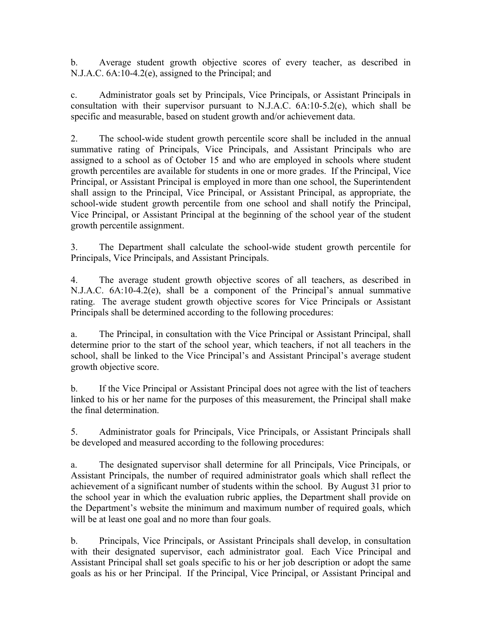b. Average student growth objective scores of every teacher, as described in N.J.A.C. 6A:10-4.2(e), assigned to the Principal; and

c. Administrator goals set by Principals, Vice Principals, or Assistant Principals in consultation with their supervisor pursuant to N.J.A.C. 6A:10-5.2(e), which shall be specific and measurable, based on student growth and/or achievement data.

2. The school-wide student growth percentile score shall be included in the annual summative rating of Principals, Vice Principals, and Assistant Principals who are assigned to a school as of October 15 and who are employed in schools where student growth percentiles are available for students in one or more grades. If the Principal, Vice Principal, or Assistant Principal is employed in more than one school, the Superintendent shall assign to the Principal, Vice Principal, or Assistant Principal, as appropriate, the school-wide student growth percentile from one school and shall notify the Principal, Vice Principal, or Assistant Principal at the beginning of the school year of the student growth percentile assignment.

3. The Department shall calculate the school-wide student growth percentile for Principals, Vice Principals, and Assistant Principals.

4. The average student growth objective scores of all teachers, as described in N.J.A.C. 6A:10-4.2(e), shall be a component of the Principal's annual summative rating. The average student growth objective scores for Vice Principals or Assistant Principals shall be determined according to the following procedures:

a. The Principal, in consultation with the Vice Principal or Assistant Principal, shall determine prior to the start of the school year, which teachers, if not all teachers in the school, shall be linked to the Vice Principal's and Assistant Principal's average student growth objective score.

b. If the Vice Principal or Assistant Principal does not agree with the list of teachers linked to his or her name for the purposes of this measurement, the Principal shall make the final determination.

5. Administrator goals for Principals, Vice Principals, or Assistant Principals shall be developed and measured according to the following procedures:

a. The designated supervisor shall determine for all Principals, Vice Principals, or Assistant Principals, the number of required administrator goals which shall reflect the achievement of a significant number of students within the school. By August 31 prior to the school year in which the evaluation rubric applies, the Department shall provide on the Department's website the minimum and maximum number of required goals, which will be at least one goal and no more than four goals.

b. Principals, Vice Principals, or Assistant Principals shall develop, in consultation with their designated supervisor, each administrator goal. Each Vice Principal and Assistant Principal shall set goals specific to his or her job description or adopt the same goals as his or her Principal. If the Principal, Vice Principal, or Assistant Principal and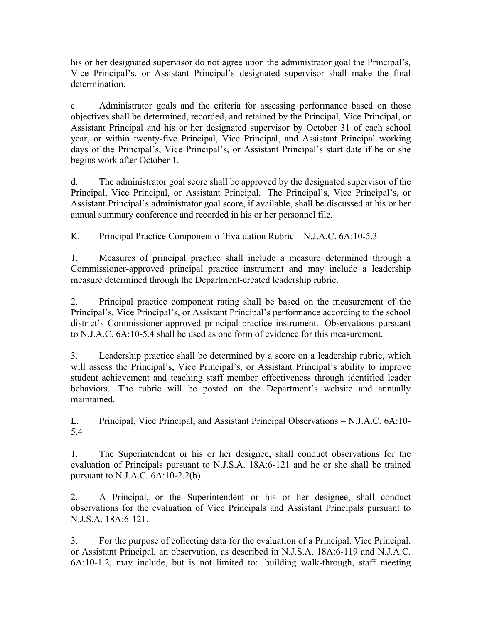his or her designated supervisor do not agree upon the administrator goal the Principal's, Vice Principal's, or Assistant Principal's designated supervisor shall make the final determination.

c. Administrator goals and the criteria for assessing performance based on those objectives shall be determined, recorded, and retained by the Principal, Vice Principal, or Assistant Principal and his or her designated supervisor by October 31 of each school year, or within twenty-five Principal, Vice Principal, and Assistant Principal working days of the Principal's, Vice Principal's, or Assistant Principal's start date if he or she begins work after October 1.

d. The administrator goal score shall be approved by the designated supervisor of the Principal, Vice Principal, or Assistant Principal. The Principal's, Vice Principal's, or Assistant Principal's administrator goal score, if available, shall be discussed at his or her annual summary conference and recorded in his or her personnel file.

K. Principal Practice Component of Evaluation Rubric – N.J.A.C. 6A:10-5.3

1. Measures of principal practice shall include a measure determined through a Commissioner-approved principal practice instrument and may include a leadership measure determined through the Department-created leadership rubric.

2. Principal practice component rating shall be based on the measurement of the Principal's, Vice Principal's, or Assistant Principal's performance according to the school district's Commissioner-approved principal practice instrument. Observations pursuant to N.J.A.C. 6A:10-5.4 shall be used as one form of evidence for this measurement.

3. Leadership practice shall be determined by a score on a leadership rubric, which will assess the Principal's, Vice Principal's, or Assistant Principal's ability to improve student achievement and teaching staff member effectiveness through identified leader behaviors. The rubric will be posted on the Department's website and annually maintained.

L. Principal, Vice Principal, and Assistant Principal Observations – N.J.A.C. 6A:10- 5.4

1. The Superintendent or his or her designee, shall conduct observations for the evaluation of Principals pursuant to N.J.S.A. 18A:6-121 and he or she shall be trained pursuant to N.J.A.C. 6A:10-2.2(b).

2. A Principal, or the Superintendent or his or her designee, shall conduct observations for the evaluation of Vice Principals and Assistant Principals pursuant to N.J.S.A. 18A:6-121.

3. For the purpose of collecting data for the evaluation of a Principal, Vice Principal, or Assistant Principal, an observation, as described in N.J.S.A. 18A:6-119 and N.J.A.C. 6A:10-1.2, may include, but is not limited to: building walk-through, staff meeting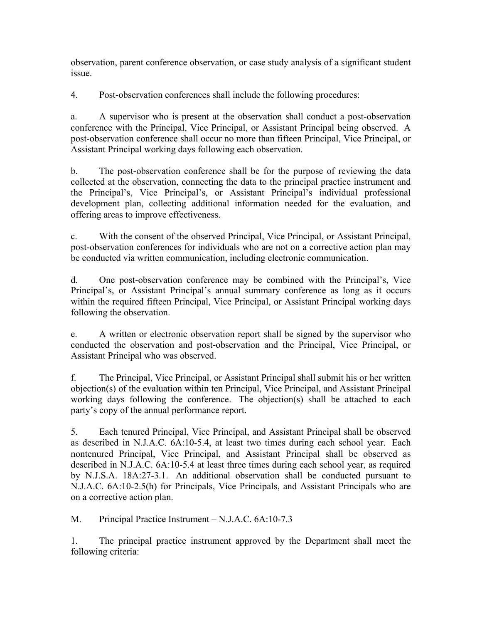observation, parent conference observation, or case study analysis of a significant student issue.

4. Post-observation conferences shall include the following procedures:

a. A supervisor who is present at the observation shall conduct a post-observation conference with the Principal, Vice Principal, or Assistant Principal being observed. A post-observation conference shall occur no more than fifteen Principal, Vice Principal, or Assistant Principal working days following each observation.

b. The post-observation conference shall be for the purpose of reviewing the data collected at the observation, connecting the data to the principal practice instrument and the Principal's, Vice Principal's, or Assistant Principal's individual professional development plan, collecting additional information needed for the evaluation, and offering areas to improve effectiveness.

c. With the consent of the observed Principal, Vice Principal, or Assistant Principal, post-observation conferences for individuals who are not on a corrective action plan may be conducted via written communication, including electronic communication.

d. One post-observation conference may be combined with the Principal's, Vice Principal's, or Assistant Principal's annual summary conference as long as it occurs within the required fifteen Principal, Vice Principal, or Assistant Principal working days following the observation.

e. A written or electronic observation report shall be signed by the supervisor who conducted the observation and post-observation and the Principal, Vice Principal, or Assistant Principal who was observed.

f. The Principal, Vice Principal, or Assistant Principal shall submit his or her written objection(s) of the evaluation within ten Principal, Vice Principal, and Assistant Principal working days following the conference. The objection(s) shall be attached to each party's copy of the annual performance report.

5. Each tenured Principal, Vice Principal, and Assistant Principal shall be observed as described in N.J.A.C. 6A:10-5.4, at least two times during each school year. Each nontenured Principal, Vice Principal, and Assistant Principal shall be observed as described in N.J.A.C. 6A:10-5.4 at least three times during each school year, as required by N.J.S.A. 18A:27-3.1. An additional observation shall be conducted pursuant to N.J.A.C. 6A:10-2.5(h) for Principals, Vice Principals, and Assistant Principals who are on a corrective action plan.

M. Principal Practice Instrument – N.J.A.C. 6A:10-7.3

1. The principal practice instrument approved by the Department shall meet the following criteria: